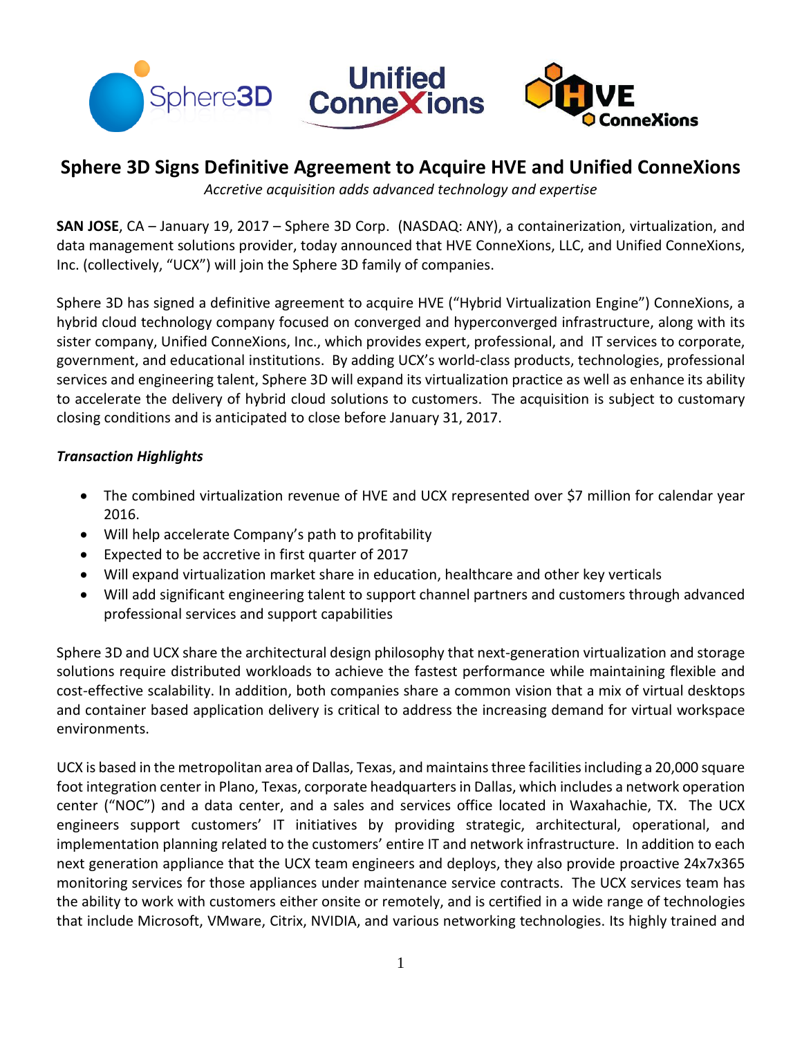

# **Sphere 3D Signs Definitive Agreement to Acquire HVE and Unified ConneXions**

*Accretive acquisition adds advanced technology and expertise*

**SAN JOSE**, CA – January 19, 2017 – Sphere 3D Corp. (NASDAQ: ANY), a containerization, virtualization, and data management solutions provider, today announced that HVE ConneXions, LLC, and Unified ConneXions, Inc. (collectively, "UCX") will join the Sphere 3D family of companies.

Sphere 3D has signed a definitive agreement to acquire HVE ("Hybrid Virtualization Engine") ConneXions, a hybrid cloud technology company focused on converged and hyperconverged infrastructure, along with its sister company, Unified ConneXions, Inc., which provides expert, professional, and IT services to corporate, government, and educational institutions. By adding UCX's world-class products, technologies, professional services and engineering talent, Sphere 3D will expand its virtualization practice as well as enhance its ability to accelerate the delivery of hybrid cloud solutions to customers. The acquisition is subject to customary closing conditions and is anticipated to close before January 31, 2017.

### *Transaction Highlights*

- The combined virtualization revenue of HVE and UCX represented over \$7 million for calendar year 2016.
- Will help accelerate Company's path to profitability
- Expected to be accretive in first quarter of 2017
- Will expand virtualization market share in education, healthcare and other key verticals
- Will add significant engineering talent to support channel partners and customers through advanced professional services and support capabilities

Sphere 3D and UCX share the architectural design philosophy that next-generation virtualization and storage solutions require distributed workloads to achieve the fastest performance while maintaining flexible and cost-effective scalability. In addition, both companies share a common vision that a mix of virtual desktops and container based application delivery is critical to address the increasing demand for virtual workspace environments.

UCX is based in the metropolitan area of Dallas, Texas, and maintains three facilities including a 20,000 square foot integration center in Plano, Texas, corporate headquarters in Dallas, which includes a network operation center ("NOC") and a data center, and a sales and services office located in Waxahachie, TX. The UCX engineers support customers' IT initiatives by providing strategic, architectural, operational, and implementation planning related to the customers' entire IT and network infrastructure. In addition to each next generation appliance that the UCX team engineers and deploys, they also provide proactive 24x7x365 monitoring services for those appliances under maintenance service contracts. The UCX services team has the ability to work with customers either onsite or remotely, and is certified in a wide range of technologies that include Microsoft, VMware, Citrix, NVIDIA, and various networking technologies. Its highly trained and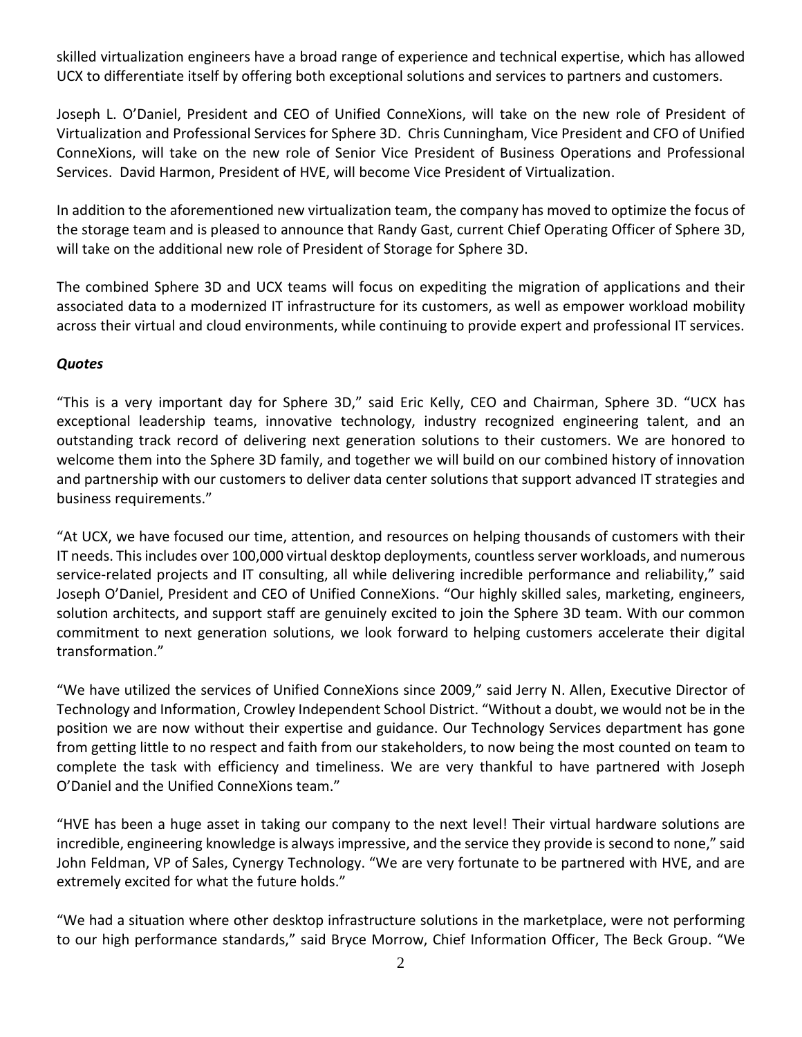skilled virtualization engineers have a broad range of experience and technical expertise, which has allowed UCX to differentiate itself by offering both exceptional solutions and services to partners and customers.

Joseph L. O'Daniel, President and CEO of Unified ConneXions, will take on the new role of President of Virtualization and Professional Services for Sphere 3D. Chris Cunningham, Vice President and CFO of Unified ConneXions, will take on the new role of Senior Vice President of Business Operations and Professional Services. David Harmon, President of HVE, will become Vice President of Virtualization.

In addition to the aforementioned new virtualization team, the company has moved to optimize the focus of the storage team and is pleased to announce that Randy Gast, current Chief Operating Officer of Sphere 3D, will take on the additional new role of President of Storage for Sphere 3D.

The combined Sphere 3D and UCX teams will focus on expediting the migration of applications and their associated data to a modernized IT infrastructure for its customers, as well as empower workload mobility across their virtual and cloud environments, while continuing to provide expert and professional IT services.

## *Quotes*

"This is a very important day for Sphere 3D," said Eric Kelly, CEO and Chairman, Sphere 3D. "UCX has exceptional leadership teams, innovative technology, industry recognized engineering talent, and an outstanding track record of delivering next generation solutions to their customers. We are honored to welcome them into the Sphere 3D family, and together we will build on our combined history of innovation and partnership with our customers to deliver data center solutions that support advanced IT strategies and business requirements."

"At UCX, we have focused our time, attention, and resources on helping thousands of customers with their IT needs. This includes over 100,000 virtual desktop deployments, countless server workloads, and numerous service-related projects and IT consulting, all while delivering incredible performance and reliability," said Joseph O'Daniel, President and CEO of Unified ConneXions. "Our highly skilled sales, marketing, engineers, solution architects, and support staff are genuinely excited to join the Sphere 3D team. With our common commitment to next generation solutions, we look forward to helping customers accelerate their digital transformation."

"We have utilized the services of Unified ConneXions since 2009," said Jerry N. Allen, Executive Director of Technology and Information, Crowley Independent School District. "Without a doubt, we would not be in the position we are now without their expertise and guidance. Our Technology Services department has gone from getting little to no respect and faith from our stakeholders, to now being the most counted on team to complete the task with efficiency and timeliness. We are very thankful to have partnered with Joseph O'Daniel and the Unified ConneXions team."

"HVE has been a huge asset in taking our company to the next level! Their virtual hardware solutions are incredible, engineering knowledge is always impressive, and the service they provide is second to none," said John Feldman, VP of Sales, Cynergy Technology. "We are very fortunate to be partnered with HVE, and are extremely excited for what the future holds."

"We had a situation where other desktop infrastructure solutions in the marketplace, were not performing to our high performance standards," said Bryce Morrow, Chief Information Officer, The Beck Group. "We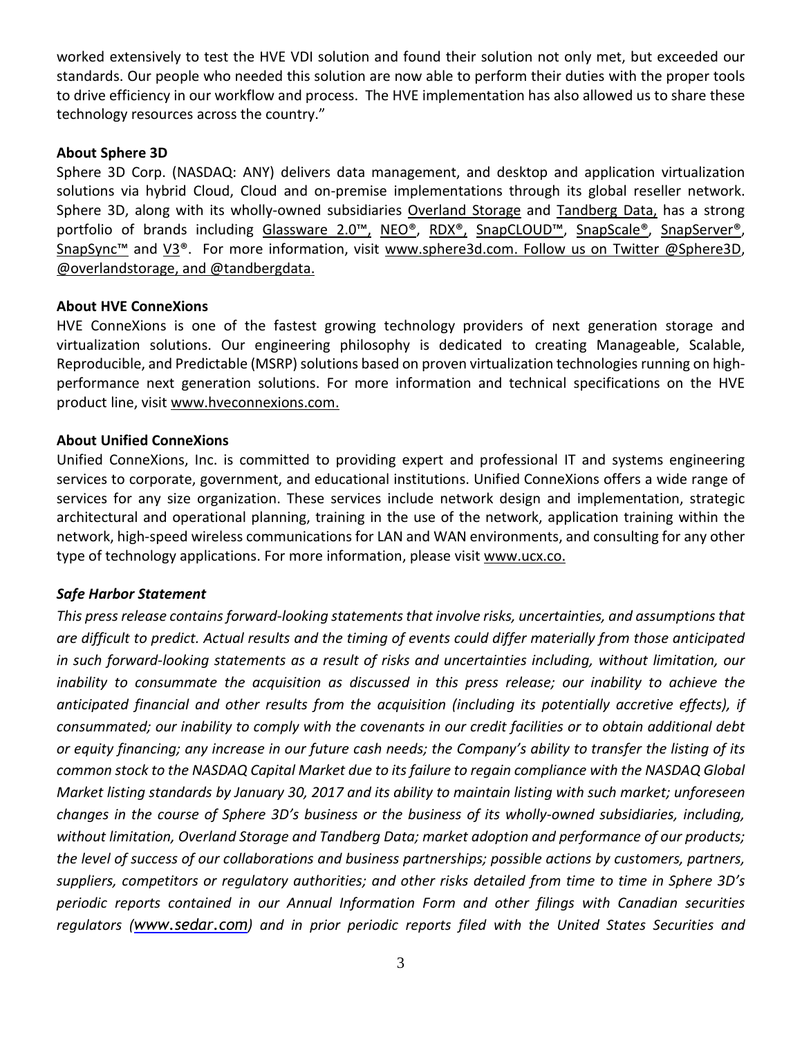worked extensively to test the HVE VDI solution and found their solution not only met, but exceeded our standards. Our people who needed this solution are now able to perform their duties with the proper tools to drive efficiency in our workflow and process. The HVE implementation has also allowed us to share these technology resources across the country."

#### **About Sphere 3D**

Sphere 3D Corp. (NASDAQ: ANY) delivers data management, and desktop and application virtualization solutions via hybrid Cloud, Cloud and on-premise implementations through its global reseller network. Sphere 3D, along with its wholly-owned subsidiaries [Overland](http://www.overlandstorage.com/) Storage and [Tandberg](http://www.tandbergdata.com/us/) Data, has a strong portfolio of brands including [Glassware](http://sphere3d.com/glassware-2-0-product/) 2.0™, [NEO®,](http://www.overlandstorage.com/products/tape-libraries-and-autoloaders/index.aspx) [RDX®,](http://www.tandbergdata.com/us/index.cfm/products/removable-disk/) [SnapCLOUD](http://sphere3d.com/snapcloud/)[™](http://sphere3d.com/snapcloud/), [SnapScale®,](http://www.overlandstorage.com/products/cluster-nas/index.aspx) [SnapServer®,](http://www.overlandstorage.com/products/network-attached-storage/index.aspx) [SnapSync](http://www.overlandstorage.com/products/snapsync/index.aspx)<sup>[™](http://www.overlandstorage.com/products/snapsync/index.aspx)</sup> and [V3®](http://sphere3d.com/v3-hyperconverged-solutions/). For more information, visit [www.sphere3d.com.](http://www.sphere3d.com/) Follow us on Twitter [@Sphere3D,](https://twitter.com/Sphere3D?ref_src=twsrc%5Etfw) [@overlandstorage,](https://twitter.com/OverlandStorage) and [@tandbergdata.](https://twitter.com/@tandbergdata)

### **About HVE ConneXions**

HVE ConneXions is one of the fastest growing technology providers of next generation storage and virtualization solutions. Our engineering philosophy is dedicated to creating Manageable, Scalable, Reproducible, and Predictable (MSRP) solutions based on proven virtualization technologies running on highperformance next generation solutions. For more information and technical specifications on the HVE product line, visit [www.hveconnexions.com.](http://www.hveconnexions.com/)

### **About Unified ConneXions**

Unified ConneXions, Inc. is committed to providing expert and professional IT and systems engineering services to corporate, government, and educational institutions. Unified ConneXions offers a wide range of services for any size organization. These services include network design and implementation, strategic architectural and operational planning, training in the use of the network, application training within the network, high-speed wireless communications for LAN and WAN environments, and consulting for any other type of technology applications. For more information, please visit [www.ucx.co.](http://www.ucx.co/)

#### *Safe Harbor Statement*

*This pressrelease containsforward-looking statementsthat involve risks, uncertainties, and assumptionsthat* are difficult to predict. Actual results and the timing of events could differ materially from those anticipated *in such forward-looking statements as a result of risks and uncertainties including, without limitation, our inability to consummate the acquisition as discussed in this press release; our inability to achieve the anticipated financial and other results from the acquisition (including its potentially accretive effects), if* consummated; our inability to comply with the covenants in our credit facilities or to obtain additional debt or equity financing; any increase in our future cash needs; the Company's ability to transfer the listing of its common stock to the NASDAQ Capital Market due to its failure to regain compliance with the NASDAQ Global Market listing standards by January 30, 2017 and its ability to maintain listing with such market; unforeseen *changes in the course of Sphere 3D's business or the business of its wholly-owned subsidiaries, including, without limitation, Overland Storage and Tandberg Data; market adoption and performance of our products; the level of success of our collaborations and business partnerships; possible actions by customers, partners, suppliers, competitors or regulatory authorities; and other risks detailed from time to time in Sphere 3D's periodic reports contained in our Annual Information Form and other filings with Canadian securities regulators ([www.sedar.com](http://www.sedar.com/)) and in prior periodic reports filed with the United States Securities and*